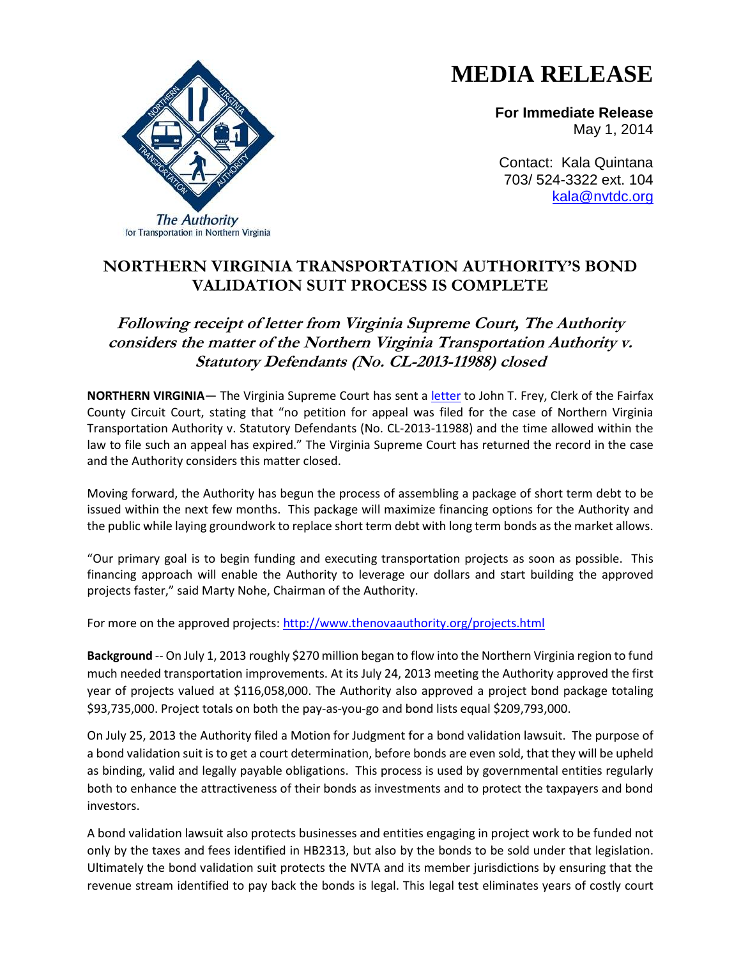## **MEDIA RELEASE**

**For Immediate Release** May 1, 2014

Contact: Kala Quintana 703/ 524-3322 ext. 104 [kala@nvtdc.org](mailto:kala@nvtdc.org)



## **Following receipt of letter from Virginia Supreme Court, The Authority considers the matter of the Northern Virginia Transportation Authority v. Statutory Defendants (No. CL-2013-11988) closed**

**NORTHERN VIRGINIA**— The Virginia Supreme Court has sent a [letter](http://www.thenovaauthority.org/PDFs/Legal/Virginia%20Supreme%20Court%20Ruling%204.7.14.pdf) to John T. Frey, Clerk of the Fairfax County Circuit Court, stating that "no petition for appeal was filed for the case of Northern Virginia Transportation Authority v. Statutory Defendants (No. CL-2013-11988) and the time allowed within the law to file such an appeal has expired." The Virginia Supreme Court has returned the record in the case and the Authority considers this matter closed.

Moving forward, the Authority has begun the process of assembling a package of short term debt to be issued within the next few months. This package will maximize financing options for the Authority and the public while laying groundwork to replace short term debt with long term bonds as the market allows.

"Our primary goal is to begin funding and executing transportation projects as soon as possible. This financing approach will enable the Authority to leverage our dollars and start building the approved projects faster," said Marty Nohe, Chairman of the Authority.

For more on the approved projects:<http://www.thenovaauthority.org/projects.html>

**Background** -- On July 1, 2013 roughly \$270 million began to flow into the Northern Virginia region to fund much needed transportation improvements. At its July 24, 2013 meeting the Authority approved the first year of projects valued at \$116,058,000. The Authority also approved a project bond package totaling \$93,735,000. Project totals on both the pay-as-you-go and bond lists equal \$209,793,000.

On July 25, 2013 the Authority filed a Motion for Judgment for a bond validation lawsuit. The purpose of a bond validation suit is to get a court determination, before bonds are even sold, that they will be upheld as binding, valid and legally payable obligations. This process is used by governmental entities regularly both to enhance the attractiveness of their bonds as investments and to protect the taxpayers and bond investors.

A bond validation lawsuit also protects businesses and entities engaging in project work to be funded not only by the taxes and fees identified in HB2313, but also by the bonds to be sold under that legislation. Ultimately the bond validation suit protects the NVTA and its member jurisdictions by ensuring that the revenue stream identified to pay back the bonds is legal. This legal test eliminates years of costly court